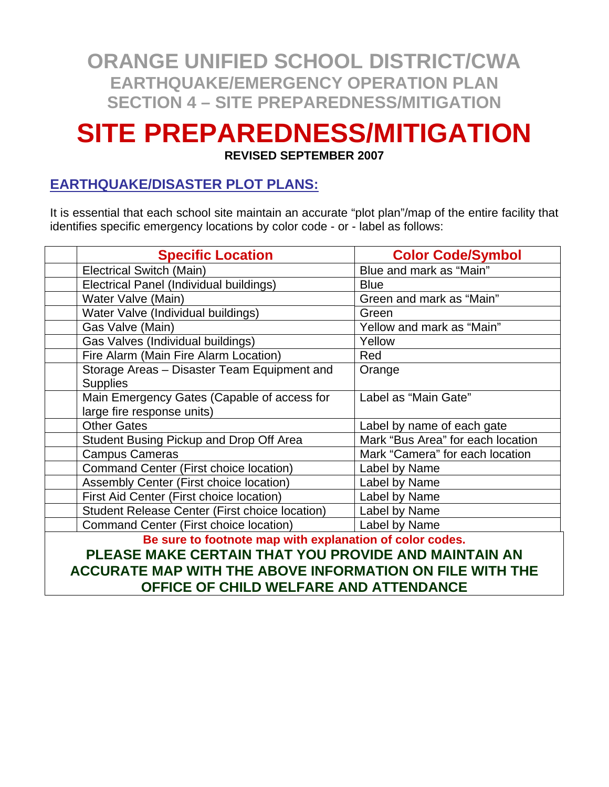# **SITE PREPAREDNESS/MITIGATION**

**REVISED SEPTEMBER 2007** 

#### **EARTHQUAKE/DISASTER PLOT PLANS:**

It is essential that each school site maintain an accurate "plot plan"/map of the entire facility that identifies specific emergency locations by color code - or - label as follows:

|                                                          | <b>Specific Location</b>                                                  | <b>Color Code/Symbol</b>          |  |  |  |  |
|----------------------------------------------------------|---------------------------------------------------------------------------|-----------------------------------|--|--|--|--|
|                                                          | <b>Electrical Switch (Main)</b>                                           | Blue and mark as "Main"           |  |  |  |  |
|                                                          | Electrical Panel (Individual buildings)                                   | <b>Blue</b>                       |  |  |  |  |
|                                                          | Water Valve (Main)                                                        | Green and mark as "Main"          |  |  |  |  |
|                                                          | Water Valve (Individual buildings)                                        | Green                             |  |  |  |  |
|                                                          | Gas Valve (Main)                                                          | Yellow and mark as "Main"         |  |  |  |  |
|                                                          | Gas Valves (Individual buildings)                                         | Yellow                            |  |  |  |  |
|                                                          | Fire Alarm (Main Fire Alarm Location)                                     | Red                               |  |  |  |  |
|                                                          | Storage Areas - Disaster Team Equipment and<br><b>Supplies</b>            | Orange                            |  |  |  |  |
|                                                          | Main Emergency Gates (Capable of access for<br>large fire response units) | Label as "Main Gate"              |  |  |  |  |
|                                                          | <b>Other Gates</b>                                                        | Label by name of each gate        |  |  |  |  |
|                                                          | Student Busing Pickup and Drop Off Area                                   | Mark "Bus Area" for each location |  |  |  |  |
|                                                          | <b>Campus Cameras</b>                                                     | Mark "Camera" for each location   |  |  |  |  |
|                                                          | Command Center (First choice location)                                    | Label by Name                     |  |  |  |  |
|                                                          | Assembly Center (First choice location)                                   | Label by Name                     |  |  |  |  |
|                                                          | First Aid Center (First choice location)                                  | Label by Name                     |  |  |  |  |
|                                                          | Student Release Center (First choice location)                            | Label by Name                     |  |  |  |  |
|                                                          | Command Center (First choice location)                                    | Label by Name                     |  |  |  |  |
| Be sure to footnote map with explanation of color codes. |                                                                           |                                   |  |  |  |  |
| PLEASE MAKE CERTAIN THAT YOU PROVIDE AND MAINTAIN AN     |                                                                           |                                   |  |  |  |  |
|                                                          | ACCURATE MAP WITH THE ABOVE INFORMATION ON FILE WITH THE                  |                                   |  |  |  |  |
|                                                          | OFFICE OF CHILD WELFARE AND ATTENDANCE                                    |                                   |  |  |  |  |
|                                                          |                                                                           |                                   |  |  |  |  |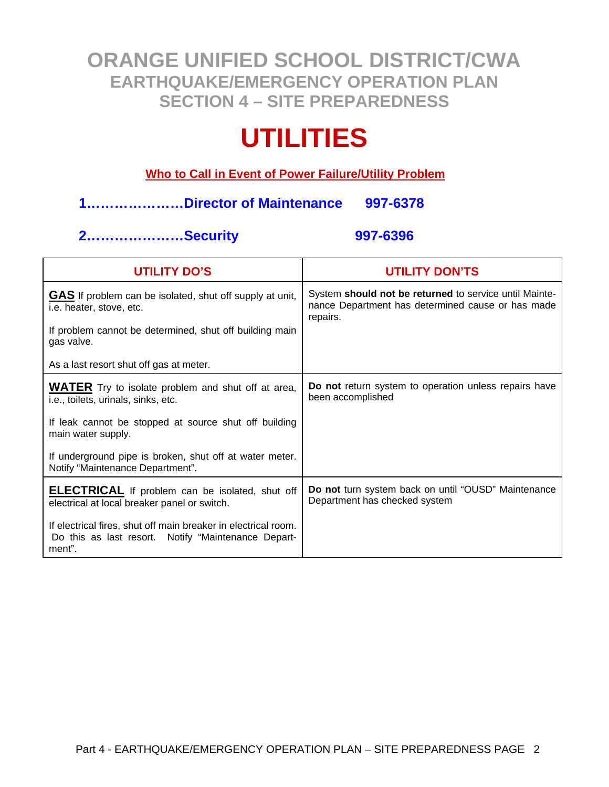# **UTILITIES**

#### **Who to Call in Event of Power Failure/Utility Problem**

#### **1…………………Director of Maintenance 997-6378**

#### **2…………………Security 997-6396**

| <b>UTILITY DO'S</b>                                                                                                             | <b>UTILITY DON'TS</b>                                                                                                   |
|---------------------------------------------------------------------------------------------------------------------------------|-------------------------------------------------------------------------------------------------------------------------|
| <b>GAS</b> If problem can be isolated, shut off supply at unit,<br>i.e. heater, stove, etc.                                     | System should not be returned to service until Mainte-<br>nance Department has determined cause or has made<br>repairs. |
| If problem cannot be determined, shut off building main<br>gas valve.                                                           |                                                                                                                         |
| As a last resort shut off gas at meter.                                                                                         |                                                                                                                         |
| <b>WATER</b> Try to isolate problem and shut off at area,<br>i.e., toilets, urinals, sinks, etc.                                | Do not return system to operation unless repairs have<br>been accomplished                                              |
| If leak cannot be stopped at source shut off building<br>main water supply.                                                     |                                                                                                                         |
| If underground pipe is broken, shut off at water meter.<br>Notify "Maintenance Department".                                     |                                                                                                                         |
| <b>ELECTRICAL</b> If problem can be isolated, shut off<br>electrical at local breaker panel or switch.                          | Do not turn system back on until "OUSD" Maintenance<br>Department has checked system                                    |
| If electrical fires, shut off main breaker in electrical room.<br>Do this as last resort. Notify "Maintenance Depart-<br>ment". |                                                                                                                         |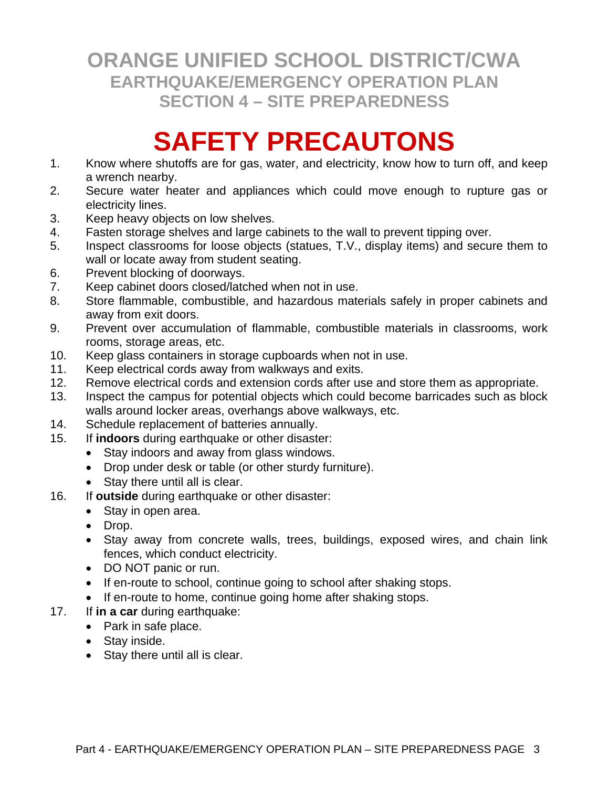# **SAFETY PRECAUTONS**

- 1. Know where shutoffs are for gas, water, and electricity, know how to turn off, and keep a wrench nearby.
- 2. Secure water heater and appliances which could move enough to rupture gas or electricity lines.
- 3. Keep heavy objects on low shelves.
- 4. Fasten storage shelves and large cabinets to the wall to prevent tipping over.
- 5. Inspect classrooms for loose objects (statues, T.V., display items) and secure them to wall or locate away from student seating.
- 6. Prevent blocking of doorways.
- 7. Keep cabinet doors closed/latched when not in use.
- 8. Store flammable, combustible, and hazardous materials safely in proper cabinets and away from exit doors.
- 9. Prevent over accumulation of flammable, combustible materials in classrooms, work rooms, storage areas, etc.
- 10. Keep glass containers in storage cupboards when not in use.
- 11. Keep electrical cords away from walkways and exits.
- 12. Remove electrical cords and extension cords after use and store them as appropriate.
- 13. Inspect the campus for potential objects which could become barricades such as block walls around locker areas, overhangs above walkways, etc.
- 14. Schedule replacement of batteries annually.
- 15. If **indoors** during earthquake or other disaster:
	- Stay indoors and away from glass windows.
	- Drop under desk or table (or other sturdy furniture).
	- Stay there until all is clear.
- 16. If **outside** during earthquake or other disaster:
	- Stay in open area.
	- Drop.
	- Stay away from concrete walls, trees, buildings, exposed wires, and chain link fences, which conduct electricity.
	- DO NOT panic or run.
	- If en-route to school, continue going to school after shaking stops.
	- If en-route to home, continue going home after shaking stops.
- 17. If **in a car** during earthquake:
	- Park in safe place.
	- Stay inside.
	- Stay there until all is clear.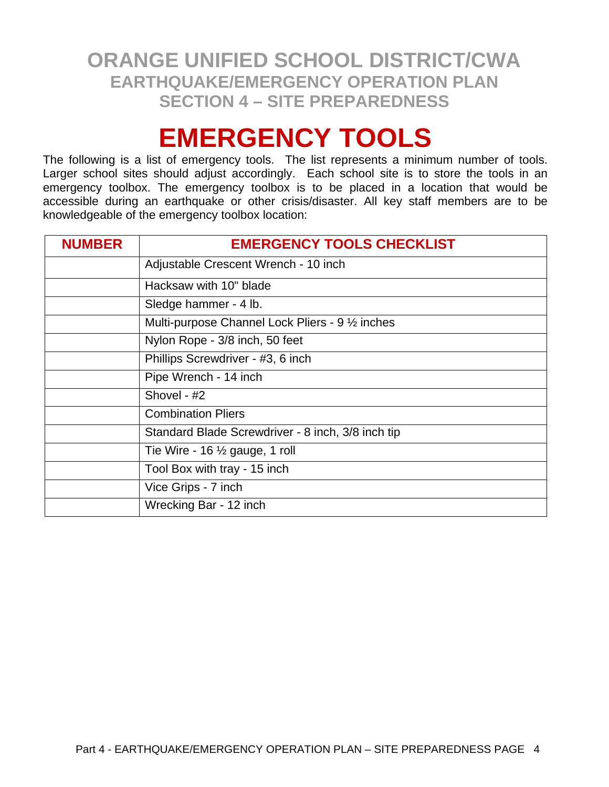# **EMERGENCY TOOLS**

The following is a list of emergency tools. The list represents a minimum number of tools. Larger school sites should adjust accordingly. Each school site is to store the tools in an emergency toolbox. The emergency toolbox is to be placed in a location that would be accessible during an earthquake or other crisis/disaster. All key staff members are to be knowledgeable of the emergency toolbox location:

| <b>NUMBER</b> | <b>EMERGENCY TOOLS CHECKLIST</b>                  |  |  |  |  |  |  |
|---------------|---------------------------------------------------|--|--|--|--|--|--|
|               | Adjustable Crescent Wrench - 10 inch              |  |  |  |  |  |  |
|               | Hacksaw with 10" blade                            |  |  |  |  |  |  |
|               | Sledge hammer - 4 lb.                             |  |  |  |  |  |  |
|               | Multi-purpose Channel Lock Pliers - 9 1/2 inches  |  |  |  |  |  |  |
|               | Nylon Rope - 3/8 inch, 50 feet                    |  |  |  |  |  |  |
|               | Phillips Screwdriver - #3, 6 inch                 |  |  |  |  |  |  |
|               | Pipe Wrench - 14 inch                             |  |  |  |  |  |  |
|               | Shovel - #2                                       |  |  |  |  |  |  |
|               | <b>Combination Pliers</b>                         |  |  |  |  |  |  |
|               | Standard Blade Screwdriver - 8 inch, 3/8 inch tip |  |  |  |  |  |  |
|               | Tie Wire - 16 $\frac{1}{2}$ gauge, 1 roll         |  |  |  |  |  |  |
|               | Tool Box with tray - 15 inch                      |  |  |  |  |  |  |
|               | Vice Grips - 7 inch                               |  |  |  |  |  |  |
|               | Wrecking Bar - 12 inch                            |  |  |  |  |  |  |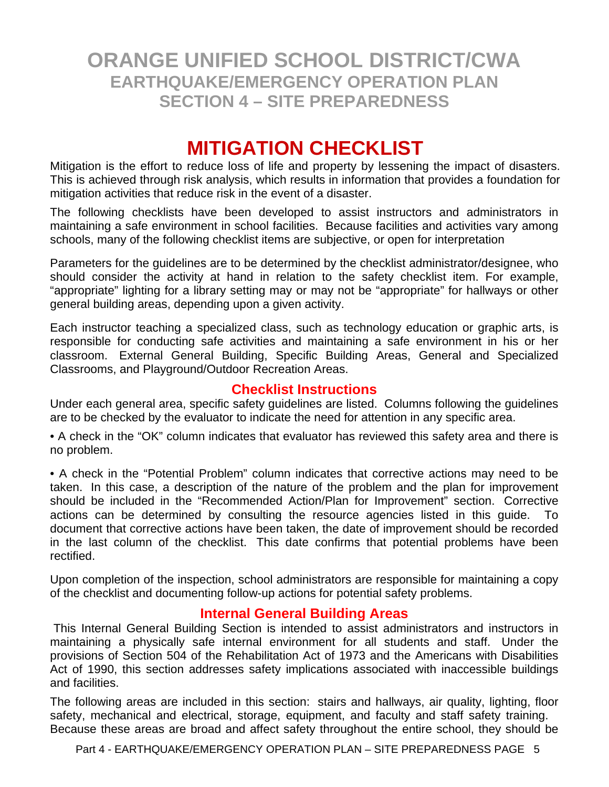## **MITIGATION CHECKLIST**

Mitigation is the effort to reduce loss of life and property by lessening the impact of disasters. This is achieved through risk analysis, which results in information that provides a foundation for mitigation activities that reduce risk in the event of a disaster.

The following checklists have been developed to assist instructors and administrators in maintaining a safe environment in school facilities. Because facilities and activities vary among schools, many of the following checklist items are subjective, or open for interpretation

Parameters for the guidelines are to be determined by the checklist administrator/designee, who should consider the activity at hand in relation to the safety checklist item. For example, "appropriate" lighting for a library setting may or may not be "appropriate" for hallways or other general building areas, depending upon a given activity.

Each instructor teaching a specialized class, such as technology education or graphic arts, is responsible for conducting safe activities and maintaining a safe environment in his or her classroom. External General Building, Specific Building Areas, General and Specialized Classrooms, and Playground/Outdoor Recreation Areas.

#### **Checklist Instructions**

Under each general area, specific safety guidelines are listed. Columns following the guidelines are to be checked by the evaluator to indicate the need for attention in any specific area.

• A check in the "OK" column indicates that evaluator has reviewed this safety area and there is no problem.

• A check in the "Potential Problem" column indicates that corrective actions may need to be taken. In this case, a description of the nature of the problem and the plan for improvement should be included in the "Recommended Action/Plan for Improvement" section. Corrective actions can be determined by consulting the resource agencies listed in this guide. To document that corrective actions have been taken, the date of improvement should be recorded in the last column of the checklist. This date confirms that potential problems have been rectified.

Upon completion of the inspection, school administrators are responsible for maintaining a copy of the checklist and documenting follow-up actions for potential safety problems.

#### **Internal General Building Areas**

 This Internal General Building Section is intended to assist administrators and instructors in maintaining a physically safe internal environment for all students and staff. Under the provisions of Section 504 of the Rehabilitation Act of 1973 and the Americans with Disabilities Act of 1990, this section addresses safety implications associated with inaccessible buildings and facilities.

The following areas are included in this section: stairs and hallways, air quality, lighting, floor safety, mechanical and electrical, storage, equipment, and faculty and staff safety training. Because these areas are broad and affect safety throughout the entire school, they should be

Part 4 - EARTHQUAKE/EMERGENCY OPERATION PLAN - SITE PREPAREDNESS PAGE 5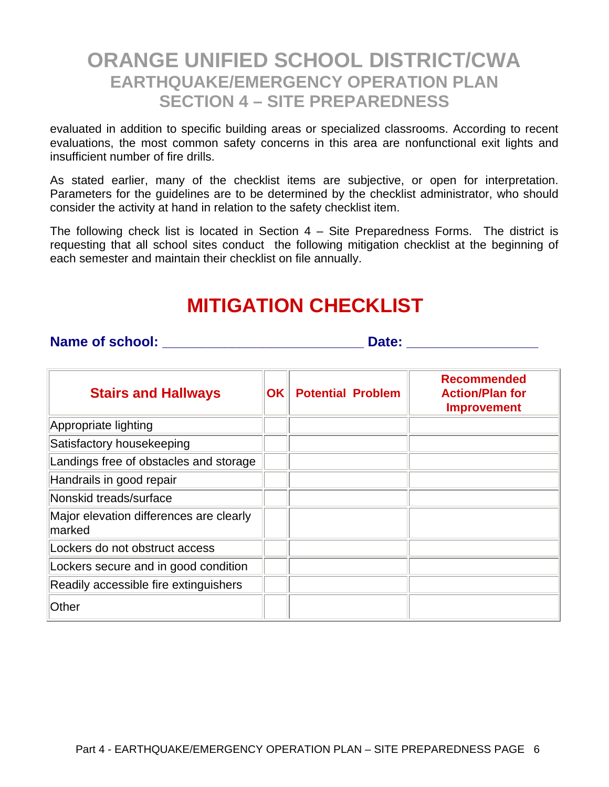evaluated in addition to specific building areas or specialized classrooms. According to recent evaluations, the most common safety concerns in this area are nonfunctional exit lights and insufficient number of fire drills.

As stated earlier, many of the checklist items are subjective, or open for interpretation. Parameters for the guidelines are to be determined by the checklist administrator, who should consider the activity at hand in relation to the safety checklist item.

The following check list is located in Section 4 – Site Preparedness Forms. The district is requesting that all school sites conduct the following mitigation checklist at the beginning of each semester and maintain their checklist on file annually.

## **MITIGATION CHECKLIST**

#### **Name of school: \_\_\_\_\_\_\_\_\_\_\_\_\_\_\_\_\_\_\_\_\_\_\_\_\_\_ Date: \_\_\_\_\_\_\_\_\_\_\_\_\_\_\_\_\_**

| <b>Stairs and Hallways</b>                        | OK | <b>Potential Problem</b> | <b>Recommended</b><br><b>Action/Plan for</b><br><b>Improvement</b> |
|---------------------------------------------------|----|--------------------------|--------------------------------------------------------------------|
| Appropriate lighting                              |    |                          |                                                                    |
| Satisfactory housekeeping                         |    |                          |                                                                    |
| Landings free of obstacles and storage            |    |                          |                                                                    |
| Handrails in good repair                          |    |                          |                                                                    |
| Nonskid treads/surface                            |    |                          |                                                                    |
| Major elevation differences are clearly<br>marked |    |                          |                                                                    |
| Lockers do not obstruct access                    |    |                          |                                                                    |
| Lockers secure and in good condition              |    |                          |                                                                    |
| Readily accessible fire extinguishers             |    |                          |                                                                    |
| Other                                             |    |                          |                                                                    |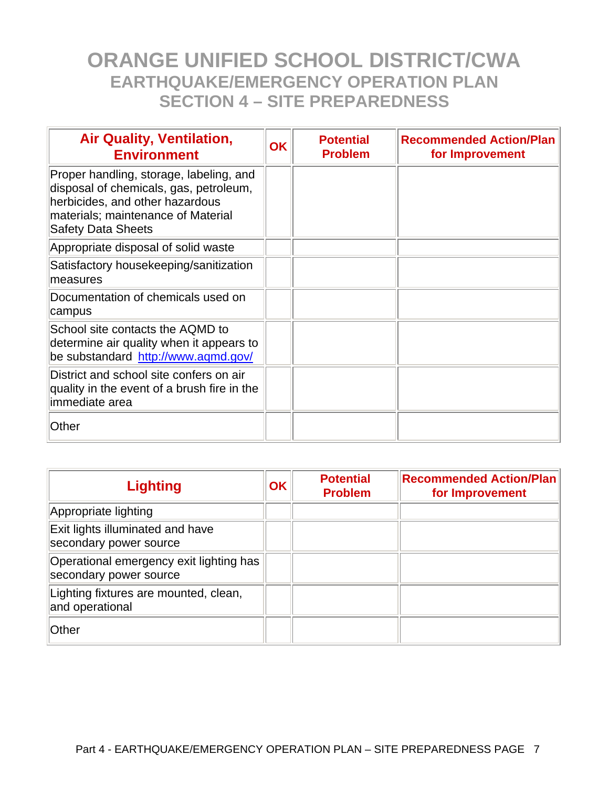| <b>Air Quality, Ventilation,</b><br><b>Environment</b>                                                                                                                                  | ΟK | <b>Potential</b><br><b>Problem</b> | <b>Recommended Action/Plan</b><br>for Improvement |
|-----------------------------------------------------------------------------------------------------------------------------------------------------------------------------------------|----|------------------------------------|---------------------------------------------------|
| Proper handling, storage, labeling, and<br>disposal of chemicals, gas, petroleum,<br>herbicides, and other hazardous<br>materials; maintenance of Material<br><b>Safety Data Sheets</b> |    |                                    |                                                   |
| Appropriate disposal of solid waste                                                                                                                                                     |    |                                    |                                                   |
| Satisfactory housekeeping/sanitization<br>measures                                                                                                                                      |    |                                    |                                                   |
| Documentation of chemicals used on<br>campus                                                                                                                                            |    |                                    |                                                   |
| School site contacts the AQMD to<br>determine air quality when it appears to<br>be substandard http://www.aqmd.gov/                                                                     |    |                                    |                                                   |
| District and school site confers on air<br>quality in the event of a brush fire in the<br>immediate area                                                                                |    |                                    |                                                   |
| Other                                                                                                                                                                                   |    |                                    |                                                   |

| <b>Lighting</b>                                                   | <b>OK</b> | <b>Potential</b><br><b>Problem</b> | <b>Recommended Action/Plan</b><br>for Improvement |
|-------------------------------------------------------------------|-----------|------------------------------------|---------------------------------------------------|
| Appropriate lighting                                              |           |                                    |                                                   |
| Exit lights illuminated and have<br>secondary power source        |           |                                    |                                                   |
| Operational emergency exit lighting has<br>secondary power source |           |                                    |                                                   |
| Lighting fixtures are mounted, clean,<br>and operational          |           |                                    |                                                   |
| Other                                                             |           |                                    |                                                   |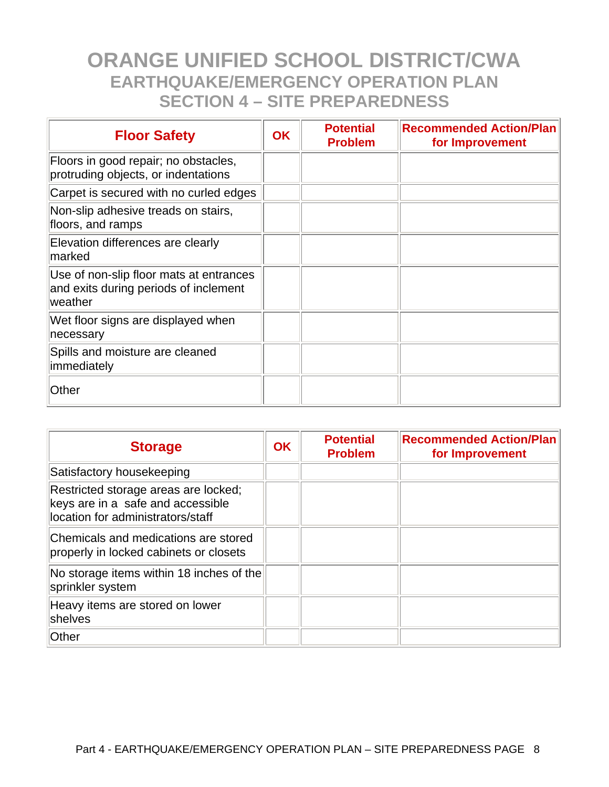| <b>Floor Safety</b>                                                                         | <b>OK</b> | <b>Potential</b><br><b>Problem</b> | <b>Recommended Action/Plan</b><br>for Improvement |
|---------------------------------------------------------------------------------------------|-----------|------------------------------------|---------------------------------------------------|
| Floors in good repair; no obstacles,<br>protruding objects, or indentations                 |           |                                    |                                                   |
| Carpet is secured with no curled edges                                                      |           |                                    |                                                   |
| Non-slip adhesive treads on stairs,<br>floors, and ramps                                    |           |                                    |                                                   |
| Elevation differences are clearly<br>marked                                                 |           |                                    |                                                   |
| Use of non-slip floor mats at entrances<br>and exits during periods of inclement<br>weather |           |                                    |                                                   |
| Wet floor signs are displayed when<br>necessary                                             |           |                                    |                                                   |
| Spills and moisture are cleaned<br>immediately                                              |           |                                    |                                                   |
| Other                                                                                       |           |                                    |                                                   |

| <b>Storage</b>                                                                                                 | <b>OK</b> | <b>Potential</b><br><b>Problem</b> | <b>Recommended Action/Plan</b><br>for Improvement |
|----------------------------------------------------------------------------------------------------------------|-----------|------------------------------------|---------------------------------------------------|
| Satisfactory housekeeping                                                                                      |           |                                    |                                                   |
| Restricted storage areas are locked;<br>keys are in a safe and accessible<br>location for administrators/staff |           |                                    |                                                   |
| Chemicals and medications are stored<br>properly in locked cabinets or closets                                 |           |                                    |                                                   |
| No storage items within 18 inches of the<br>sprinkler system                                                   |           |                                    |                                                   |
| Heavy items are stored on lower<br>shelves                                                                     |           |                                    |                                                   |
| Other                                                                                                          |           |                                    |                                                   |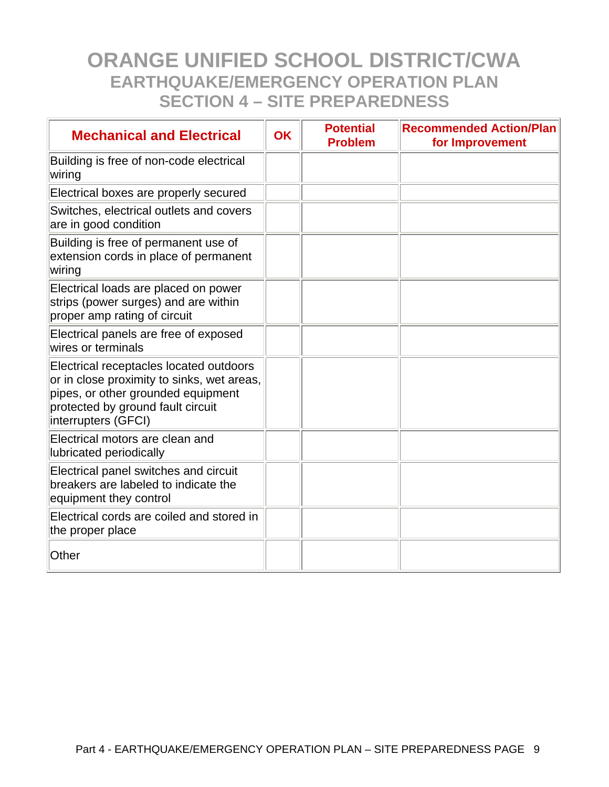| <b>Mechanical and Electrical</b>                                                                                                                                                        | <b>OK</b> | <b>Potential</b><br><b>Problem</b> | <b>Recommended Action/Plan</b><br>for Improvement |
|-----------------------------------------------------------------------------------------------------------------------------------------------------------------------------------------|-----------|------------------------------------|---------------------------------------------------|
| Building is free of non-code electrical<br>wiring                                                                                                                                       |           |                                    |                                                   |
| Electrical boxes are properly secured                                                                                                                                                   |           |                                    |                                                   |
| Switches, electrical outlets and covers<br>are in good condition                                                                                                                        |           |                                    |                                                   |
| Building is free of permanent use of<br>extension cords in place of permanent<br>wiring                                                                                                 |           |                                    |                                                   |
| Electrical loads are placed on power<br>strips (power surges) and are within<br>proper amp rating of circuit                                                                            |           |                                    |                                                   |
| Electrical panels are free of exposed<br>wires or terminals                                                                                                                             |           |                                    |                                                   |
| Electrical receptacles located outdoors<br>or in close proximity to sinks, wet areas,<br>pipes, or other grounded equipment<br>protected by ground fault circuit<br>interrupters (GFCI) |           |                                    |                                                   |
| Electrical motors are clean and<br>lubricated periodically                                                                                                                              |           |                                    |                                                   |
| Electrical panel switches and circuit<br>breakers are labeled to indicate the<br>equipment they control                                                                                 |           |                                    |                                                   |
| Electrical cords are coiled and stored in<br>the proper place                                                                                                                           |           |                                    |                                                   |
| Other                                                                                                                                                                                   |           |                                    |                                                   |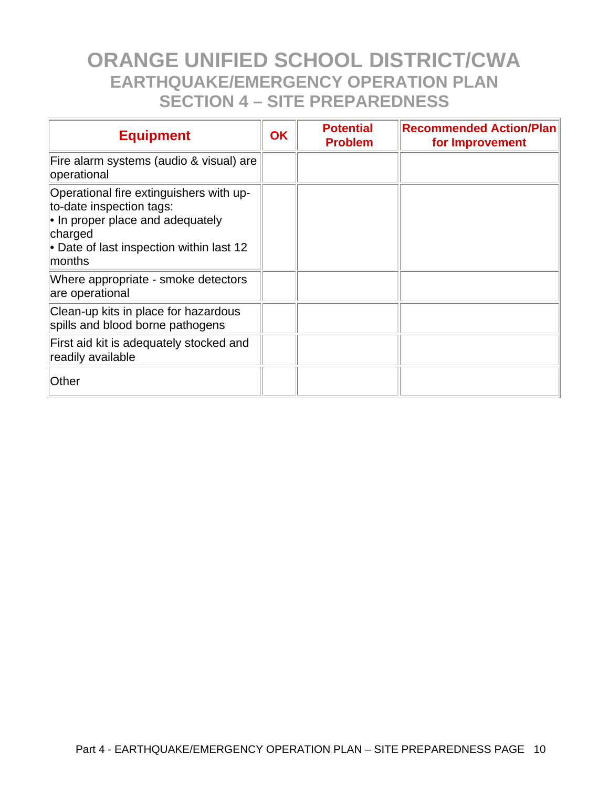| <b>Equipment</b>                                                                                                                                                             | <b>OK</b> | <b>Potential</b><br><b>Problem</b> | <b>Recommended Action/Plan</b><br>for Improvement |
|------------------------------------------------------------------------------------------------------------------------------------------------------------------------------|-----------|------------------------------------|---------------------------------------------------|
| Fire alarm systems (audio & visual) are<br>operational                                                                                                                       |           |                                    |                                                   |
| Operational fire extinguishers with up-<br>to-date inspection tags:<br>• In proper place and adequately<br>charged<br>• Date of last inspection within last 12<br>$ $ months |           |                                    |                                                   |
| Where appropriate - smoke detectors<br>are operational                                                                                                                       |           |                                    |                                                   |
| Clean-up kits in place for hazardous<br>spills and blood borne pathogens                                                                                                     |           |                                    |                                                   |
| First aid kit is adequately stocked and<br>readily available                                                                                                                 |           |                                    |                                                   |
| Other                                                                                                                                                                        |           |                                    |                                                   |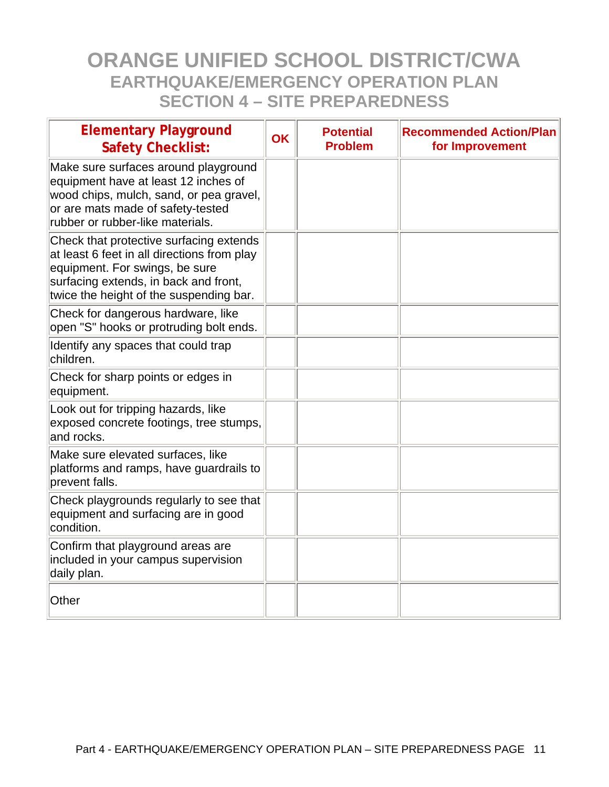| <b>Elementary Playground</b><br><b>Safety Checklist:</b>                                                                                                                                                     | <b>OK</b> | <b>Potential</b><br><b>Problem</b> | <b>Recommended Action/Plan</b><br>for Improvement |
|--------------------------------------------------------------------------------------------------------------------------------------------------------------------------------------------------------------|-----------|------------------------------------|---------------------------------------------------|
| Make sure surfaces around playground<br>equipment have at least 12 inches of<br>wood chips, mulch, sand, or pea gravel,<br>or are mats made of safety-tested<br>rubber or rubber-like materials.             |           |                                    |                                                   |
| Check that protective surfacing extends<br>at least 6 feet in all directions from play<br>equipment. For swings, be sure<br>surfacing extends, in back and front,<br>twice the height of the suspending bar. |           |                                    |                                                   |
| Check for dangerous hardware, like<br>open "S" hooks or protruding bolt ends.                                                                                                                                |           |                                    |                                                   |
| Identify any spaces that could trap<br>children.                                                                                                                                                             |           |                                    |                                                   |
| Check for sharp points or edges in<br>equipment.                                                                                                                                                             |           |                                    |                                                   |
| Look out for tripping hazards, like<br>exposed concrete footings, tree stumps,<br>and rocks.                                                                                                                 |           |                                    |                                                   |
| Make sure elevated surfaces, like<br>platforms and ramps, have guardrails to<br>prevent falls.                                                                                                               |           |                                    |                                                   |
| Check playgrounds regularly to see that<br>equipment and surfacing are in good<br>condition.                                                                                                                 |           |                                    |                                                   |
| Confirm that playground areas are<br>included in your campus supervision<br>daily plan.                                                                                                                      |           |                                    |                                                   |
| Other                                                                                                                                                                                                        |           |                                    |                                                   |